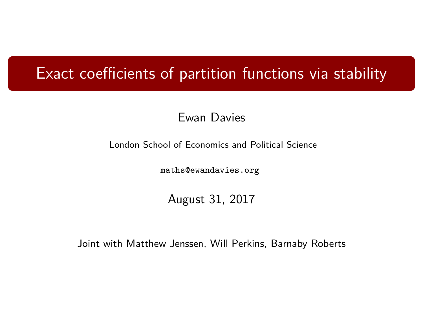### Exact coefficients of partition functions via stability

#### Ewan Davies

London School of Economics and Political Science

[maths@ewandavies.org](mailto:maths@ewandavies.org)

August 31, 2017

Joint with Matthew Jenssen, Will Perkins, Barnaby Roberts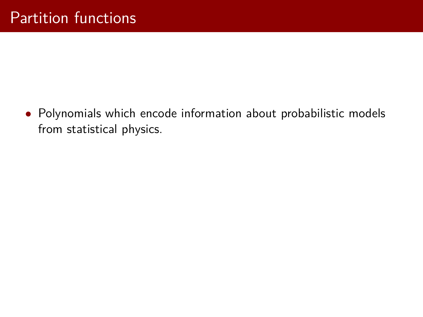• Polynomials which encode information about probabilistic models from statistical physics.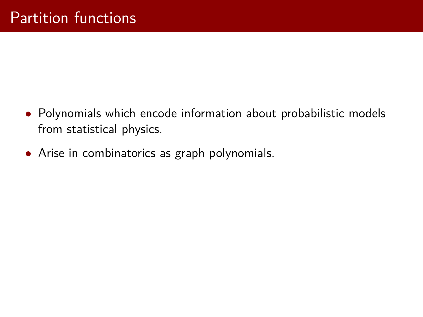- Polynomials which encode information about probabilistic models from statistical physics.
- Arise in combinatorics as graph polynomials.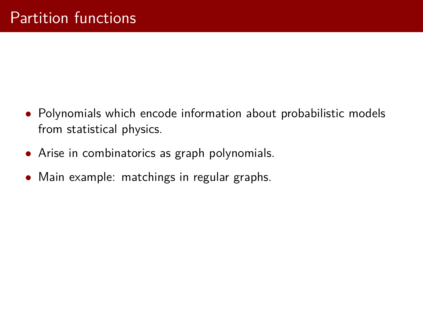- Polynomials which encode information about probabilistic models from statistical physics.
- Arise in combinatorics as graph polynomials.
- Main example: matchings in regular graphs.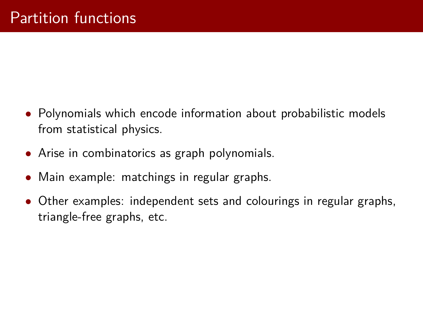- Polynomials which encode information about probabilistic models from statistical physics.
- Arise in combinatorics as graph polynomials.
- Main example: matchings in regular graphs.
- Other examples: independent sets and colourings in regular graphs, triangle-free graphs, etc.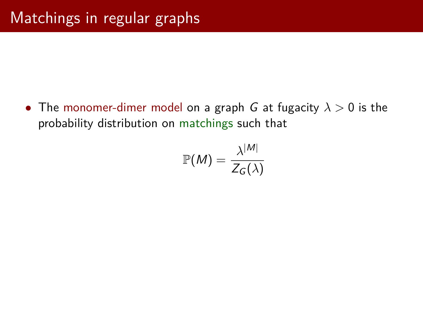• The monomer-dimer model on a graph G at fugacity *λ >* 0 is the probability distribution on matchings such that

$$
\mathbb{P}(M) = \frac{\lambda^{|M|}}{Z_G(\lambda)}
$$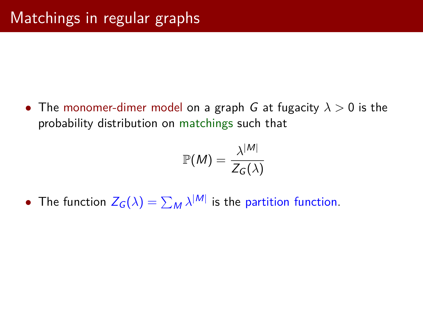• The monomer-dimer model on a graph G at fugacity *λ >* 0 is the probability distribution on matchings such that

$$
\mathbb{P}(M) = \frac{\lambda^{|M|}}{Z_G(\lambda)}
$$

• The function  $Z_G(\lambda) = \sum_M \lambda^{|M|}$  is the partition function.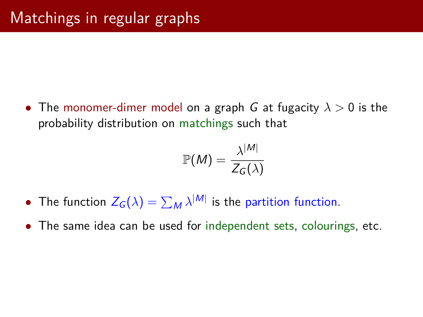• The monomer-dimer model on a graph G at fugacity *λ >* 0 is the probability distribution on matchings such that

$$
\mathbb{P}(M) = \frac{\lambda^{|M|}}{Z_G(\lambda)}
$$

- The function  $Z_G(\lambda) = \sum_M \lambda^{|M|}$  is the partition function.
- The same idea can be used for independent sets, colourings, etc.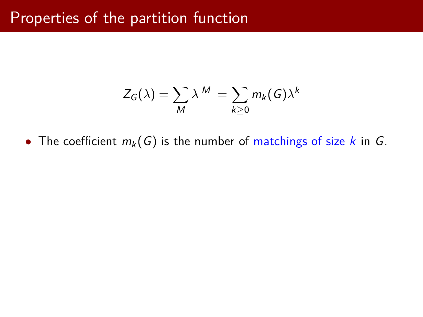### Properties of the partition function

$$
Z_G(\lambda) = \sum_{M} \lambda^{|M|} = \sum_{k \geq 0} m_k(G) \lambda^k
$$

• The coefficient  $m_k(G)$  is the number of matchings of size k in G.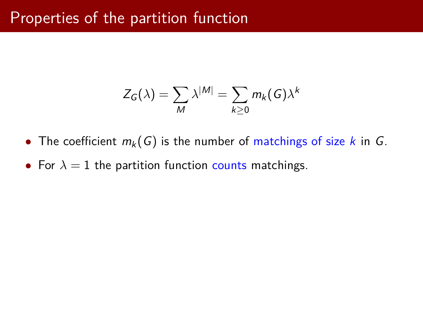### Properties of the partition function

$$
Z_G(\lambda) = \sum_{M} \lambda^{|M|} = \sum_{k \geq 0} m_k(G) \lambda^k
$$

- The coefficient  $m_k(G)$  is the number of matchings of size k in G.
- For  $\lambda = 1$  the partition function counts matchings.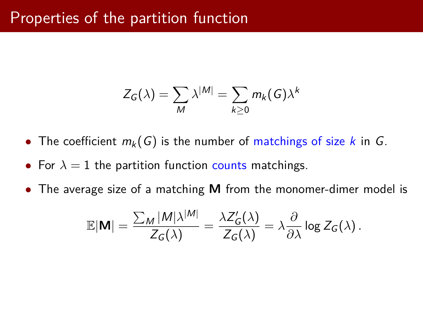### Properties of the partition function

$$
Z_G(\lambda) = \sum_{M} \lambda^{|M|} = \sum_{k \geq 0} m_k(G) \lambda^k
$$

- The coefficient  $m_k(G)$  is the number of matchings of size k in G.
- For  $\lambda = 1$  the partition function counts matchings.
- The average size of a matching **M** from the monomer-dimer model is

$$
\mathbb{E}|\mathbf{M}| = \frac{\sum_{M} |M|\lambda^{|M|}}{Z_G(\lambda)} = \frac{\lambda Z'_G(\lambda)}{Z_G(\lambda)} = \lambda \frac{\partial}{\partial \lambda} \log Z_G(\lambda).
$$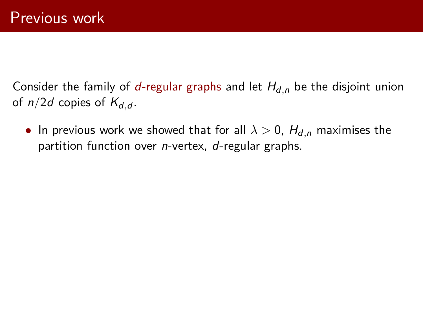Consider the family of  $d$ -regular graphs and let  $H_{d,n}$  be the disjoint union of  $n/2d$  copies of  $K_{d,d}$ .

• In previous work we showed that for all  $\lambda > 0$ ,  $H_{d,n}$  maximises the partition function over *n*-vertex, *d*-regular graphs.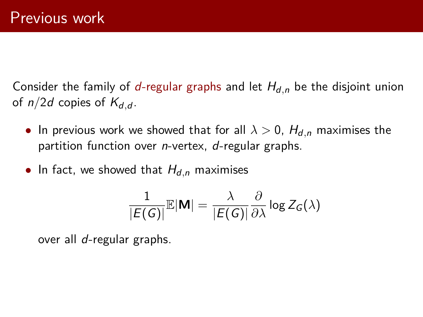Consider the family of d-regular graphs and let  $H_{d,n}$  be the disjoint union of  $n/2d$  copies of  $K_{d,d}$ .

- In previous work we showed that for all  $\lambda > 0$ ,  $H_{d,n}$  maximises the partition function over *n*-vertex, *d*-regular graphs.
- In fact, we showed that  $H_{d,n}$  maximises

$$
\frac{1}{|E(G)|}\mathbb{E}|\mathbf{M}| = \frac{\lambda}{|E(G)|}\frac{\partial}{\partial \lambda}\log Z_G(\lambda)
$$

over all d-regular graphs.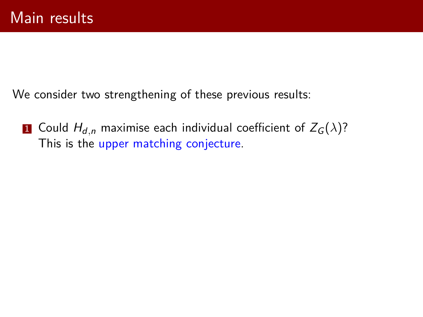We consider two strengthening of these previous results:

<span id="page-13-1"></span><span id="page-13-0"></span>1 Could  $H_{d,n}$  maximise each individual coefficient of  $Z_G(\lambda)$ ? This is the upper matching conjecture.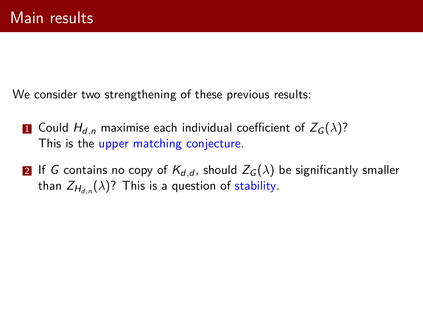We consider two strengthening of these previous results:

- 1 Could  $H_{d,n}$  maximise each individual coefficient of  $Z_G(\lambda)$ ? This is the upper matching conjecture.
- 2 If G contains no copy of  $K_{d,d}$ , should  $Z_G(\lambda)$  be significantly smaller than  $Z_{H_{d,n}}(\lambda)$ ? This is a question of stability.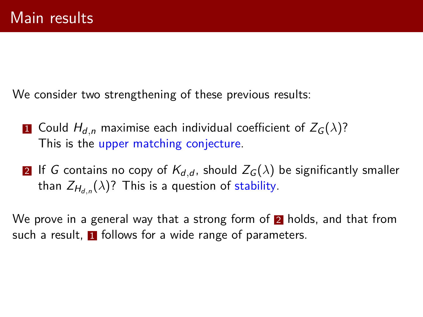We consider two strengthening of these previous results:

- 1 Could  $H_{d,n}$  maximise each individual coefficient of  $Z_G(\lambda)$ ? This is the upper matching conjecture.
- 2 If G contains no copy of  $K_{d,d}$ , should  $Z_G(\lambda)$  be significantly smaller than  $Z_{H_{d,n}}(\lambda)$ ? This is a question of stability.

We prove in a general way that a strong form of  $\overline{2}$  $\overline{2}$  $\overline{2}$  holds, and that from such a result.  $\blacksquare$  follows for a wide range of parameters.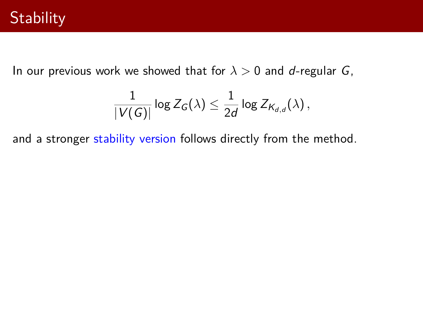In our previous work we showed that for  $\lambda > 0$  and d-regular G,

$$
\frac{1}{|V(G)|}\log Z_G(\lambda) \leq \frac{1}{2d}\log Z_{\mathsf{K}_{d,d}}(\lambda)\,,
$$

and a stronger stability version follows directly from the method.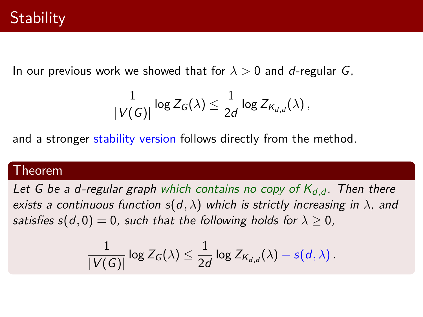In our previous work we showed that for  $\lambda > 0$  and d-regular G,

$$
\frac{1}{|V(G)|}\log Z_G(\lambda) \leq \frac{1}{2d}\log Z_{\mathsf{K}_{d,d}}(\lambda)\,,
$$

and a stronger stability version follows directly from the method.

#### Theorem

Let G be a d-regular graph which contains no copy of  $K_{d,d}$ . Then there exists a continuous function  $s(d, \lambda)$  which is strictly increasing in  $\lambda$ , and satisfies  $s(d, 0) = 0$ , such that the following holds for  $\lambda > 0$ ,

$$
\frac{1}{|V(G)|}\log Z_G(\lambda) \leq \frac{1}{2d}\log Z_{\mathcal{K}_{d,d}}(\lambda)-s(d,\lambda)\,.
$$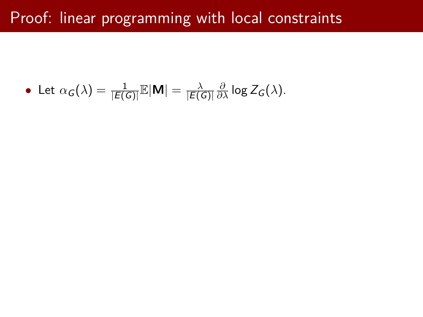# Proof: linear programming with local constraints

• Let 
$$
\alpha_G(\lambda) = \frac{1}{|E(G)|} \mathbb{E}|\mathbf{M}| = \frac{\lambda}{|E(G)|} \frac{\partial}{\partial \lambda} \log Z_G(\lambda).
$$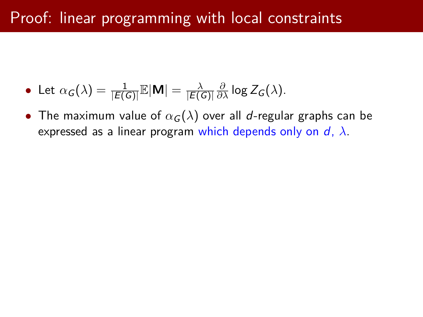# Proof: linear programming with local constraints

- Let  $\alpha_G(\lambda) = \frac{1}{|E(G)|} \mathbb{E}|\mathsf{M}| = \frac{\lambda}{|E(G)|}$  $|E(G)|$  $\frac{\partial}{\partial \lambda}$  log Z<sub>G</sub>( $\lambda$ ).
- The maximum value of  $\alpha_G(\lambda)$  over all d-regular graphs can be expressed as a linear program which depends only on d, *λ*.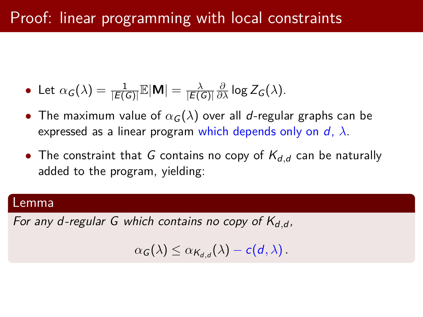# Proof: linear programming with local constraints

- Let  $\alpha_G(\lambda) = \frac{1}{|E(G)|} \mathbb{E}|\mathsf{M}| = \frac{\lambda}{|E(G)|}$  $|E(G)|$  $\frac{\partial}{\partial \lambda}$  log Z<sub>G</sub>( $\lambda$ ).
- The maximum value of  $\alpha_G(\lambda)$  over all d-regular graphs can be expressed as a linear program which depends only on d, *λ*.
- The constraint that G contains no copy of  $K_{d,d}$  can be naturally added to the program, yielding:

#### Lemma

For any d-regular G which contains no copy of K<sub>d,d</sub>,

 $\alpha_{\mathcal{G}}(\lambda) \leq \alpha_{\mathcal{K}_{\boldsymbol{d},\boldsymbol{d}}}(\lambda) - c(\boldsymbol{d},\lambda)$ .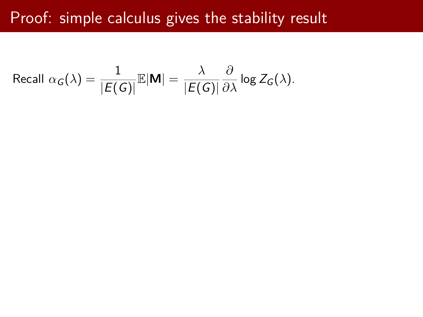# Proof: simple calculus gives the stability result

Recall 
$$
\alpha_G(\lambda) = \frac{1}{|E(G)|} \mathbb{E}|\mathbf{M}| = \frac{\lambda}{|E(G)|} \frac{\partial}{\partial \lambda} \log Z_G(\lambda).
$$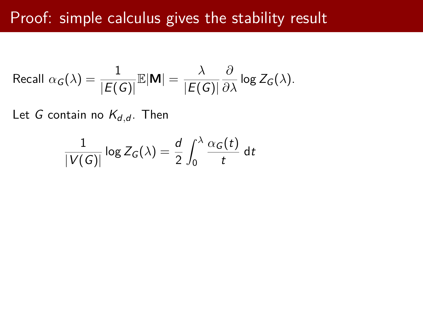### Proof: simple calculus gives the stability result

Recall 
$$
\alpha_G(\lambda) = \frac{1}{|E(G)|} \mathbb{E}|\mathbf{M}| = \frac{\lambda}{|E(G)|} \frac{\partial}{\partial \lambda} \log Z_G(\lambda).
$$

Let G contain no  $K_{d,d}$ . Then

$$
\frac{1}{|V(G)|} \log Z_G(\lambda) = \frac{d}{2} \int_0^{\lambda} \frac{\alpha_G(t)}{t} dt
$$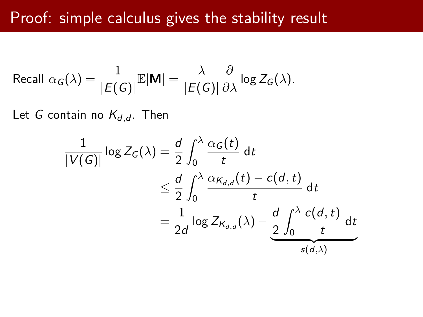### Proof: simple calculus gives the stability result

Recall 
$$
\alpha_G(\lambda) = \frac{1}{|E(G)|} \mathbb{E}|\mathbf{M}| = \frac{\lambda}{|E(G)|} \frac{\partial}{\partial \lambda} \log Z_G(\lambda).
$$

Let G contain no  $K_{d,d}$ . Then

$$
\frac{1}{|V(G)|} \log Z_G(\lambda) = \frac{d}{2} \int_0^{\lambda} \frac{\alpha_G(t)}{t} dt
$$
  
\n
$$
\leq \frac{d}{2} \int_0^{\lambda} \frac{\alpha_{K_{d,d}}(t) - c(d, t)}{t} dt
$$
  
\n
$$
= \frac{1}{2d} \log Z_{K_{d,d}}(\lambda) - \frac{d}{2} \int_0^{\lambda} \frac{c(d, t)}{t} dt
$$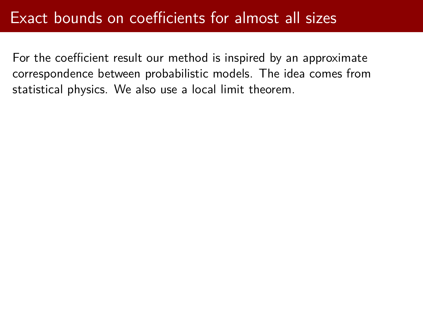For the coefficient result our method is inspired by an approximate correspondence between probabilistic models. The idea comes from statistical physics. We also use a local limit theorem.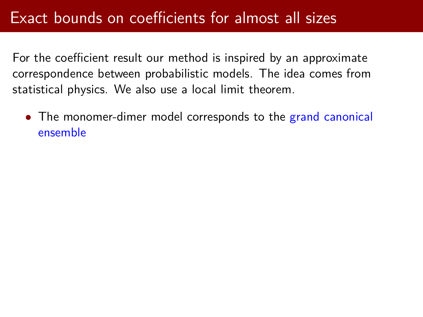For the coefficient result our method is inspired by an approximate correspondence between probabilistic models. The idea comes from statistical physics. We also use a local limit theorem.

• The monomer-dimer model corresponds to the grand canonical ensemble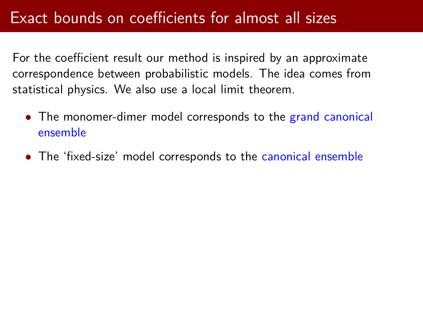For the coefficient result our method is inspired by an approximate correspondence between probabilistic models. The idea comes from statistical physics. We also use a local limit theorem.

- The monomer-dimer model corresponds to the grand canonical ensemble
- The 'fixed-size' model corresponds to the canonical ensemble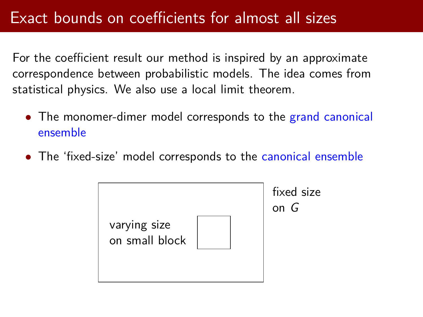For the coefficient result our method is inspired by an approximate correspondence between probabilistic models. The idea comes from statistical physics. We also use a local limit theorem.

- The monomer-dimer model corresponds to the grand canonical ensemble
- The 'fixed-size' model corresponds to the canonical ensemble

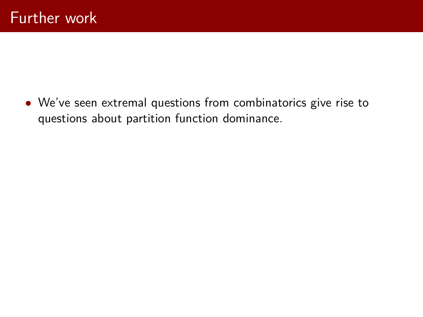• We've seen extremal questions from combinatorics give rise to questions about partition function dominance.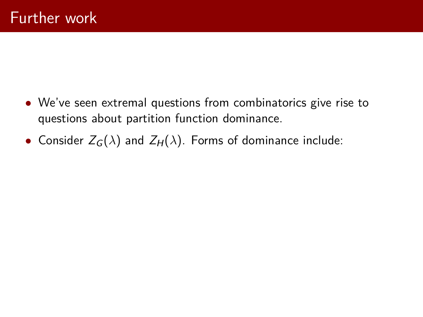- We've seen extremal questions from combinatorics give rise to questions about partition function dominance.
- Consider  $Z_G(\lambda)$  and  $Z_H(\lambda)$ . Forms of dominance include: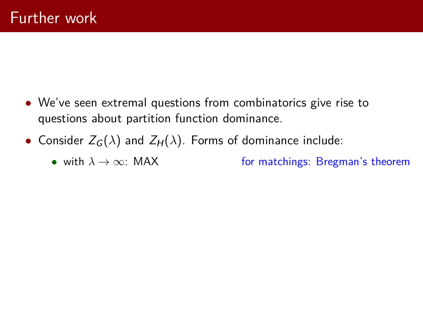- We've seen extremal questions from combinatorics give rise to questions about partition function dominance.
- Consider  $Z_G(\lambda)$  and  $Z_H(\lambda)$ . Forms of dominance include:
	- with  $\lambda \to \infty$ : MAX for matchings: Bregman's theorem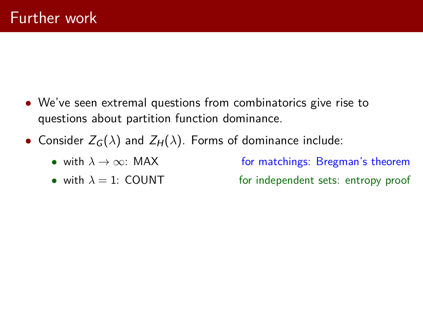- We've seen extremal questions from combinatorics give rise to questions about partition function dominance.
- Consider  $Z_G(\lambda)$  and  $Z_H(\lambda)$ . Forms of dominance include:
	- with  $\lambda \to \infty$ : MAX for matchings: Bregman's theorem
	-

• with  $\lambda = 1$ : COUNT for independent sets: entropy proof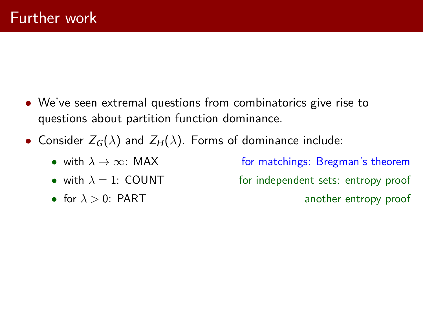- We've seen extremal questions from combinatorics give rise to questions about partition function dominance.
- Consider  $Z_G(\lambda)$  and  $Z_H(\lambda)$ . Forms of dominance include:
	- with  $\lambda \to \infty$ : MAX for matchings: Bregman's theorem
		-
		-

• with  $\lambda = 1$ : COUNT for independent sets: entropy proof • for  $\lambda > 0$ : PART another entropy proof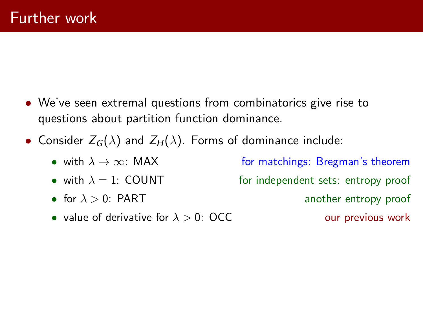- We've seen extremal questions from combinatorics give rise to questions about partition function dominance.
- Consider  $Z_G(\lambda)$  and  $Z_H(\lambda)$ . Forms of dominance include:
	- with  $\lambda \to \infty$ : MAX for matchings: Bregman's theorem
	-
	-
	- value of derivative for  $\lambda > 0$ : OCC our previous work

• with  $\lambda = 1$ : COUNT for independent sets: entropy proof • for  $\lambda > 0$ : PART another entropy proof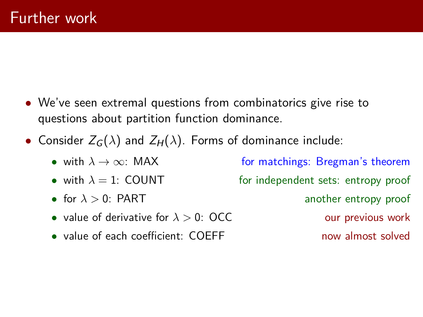- We've seen extremal questions from combinatorics give rise to questions about partition function dominance.
- Consider  $Z_G(\lambda)$  and  $Z_H(\lambda)$ . Forms of dominance include:
	- with  $\lambda \to \infty$ : MAX for matchings: Bregman's theorem
	-
	-
	- value of derivative for  $\lambda > 0$ : OCC our previous work
	- value of each coefficient: COEFF now almost solved

• with  $\lambda = 1$ : COUNT for independent sets: entropy proof • for  $\lambda > 0$ : PART another entropy proof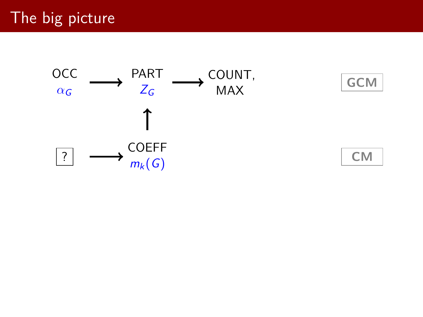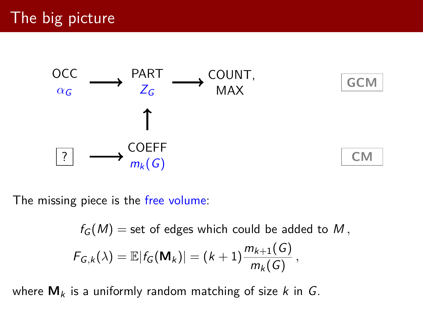



**CM**

The missing piece is the free volume:

$$
f_G(M) = \text{set of edges which could be added to } M,
$$
  

$$
F_{G,k}(\lambda) = \mathbb{E}|f_G(\mathbf{M}_k)| = (k+1)\frac{m_{k+1}(G)}{m_k(G)},
$$

where  $M_k$  is a uniformly random matching of size  $k$  in  $G$ .